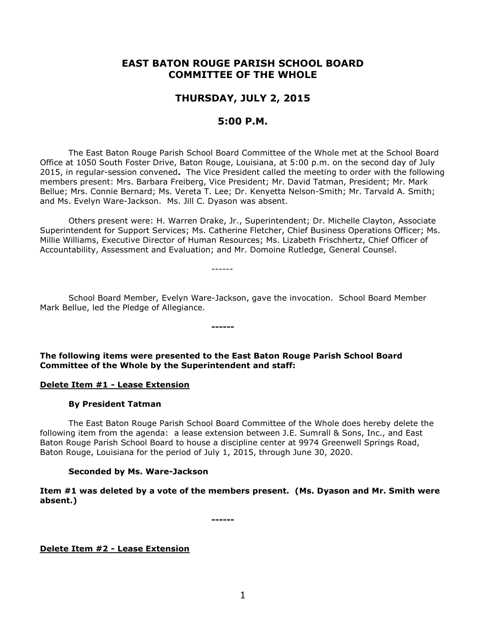# **EAST BATON ROUGE PARISH SCHOOL BOARD COMMITTEE OF THE WHOLE**

# **THURSDAY, JULY 2, 2015**

# **5:00 P.M.**

The East Baton Rouge Parish School Board Committee of the Whole met at the School Board Office at 1050 South Foster Drive, Baton Rouge, Louisiana, at 5:00 p.m. on the second day of July 2015, in regular-session convened**.** The Vice President called the meeting to order with the following members present: Mrs. Barbara Freiberg, Vice President; Mr. David Tatman, President; Mr. Mark Bellue; Mrs. Connie Bernard; Ms. Vereta T. Lee; Dr. Kenyetta Nelson-Smith; Mr. Tarvald A. Smith; and Ms. Evelyn Ware-Jackson. Ms. Jill C. Dyason was absent.

Others present were: H. Warren Drake, Jr., Superintendent; Dr. Michelle Clayton, Associate Superintendent for Support Services; Ms. Catherine Fletcher, Chief Business Operations Officer; Ms. Millie Williams, Executive Director of Human Resources; Ms. Lizabeth Frischhertz, Chief Officer of Accountability, Assessment and Evaluation; and Mr. Domoine Rutledge, General Counsel.

School Board Member, Evelyn Ware-Jackson, gave the invocation. School Board Member Mark Bellue, led the Pledge of Allegiance.

------

**The following items were presented to the East Baton Rouge Parish School Board Committee of the Whole by the Superintendent and staff:**

**------**

### **Delete Item #1 - Lease Extension**

### **By President Tatman**

The East Baton Rouge Parish School Board Committee of the Whole does hereby delete the following item from the agenda: a lease extension between J.E. Sumrall & Sons, Inc., and East Baton Rouge Parish School Board to house a discipline center at 9974 Greenwell Springs Road, Baton Rouge, Louisiana for the period of July 1, 2015, through June 30, 2020.

### **Seconded by Ms. Ware-Jackson**

**Item #1 was deleted by a vote of the members present. (Ms. Dyason and Mr. Smith were absent.)**

**------**

**Delete Item #2 - Lease Extension**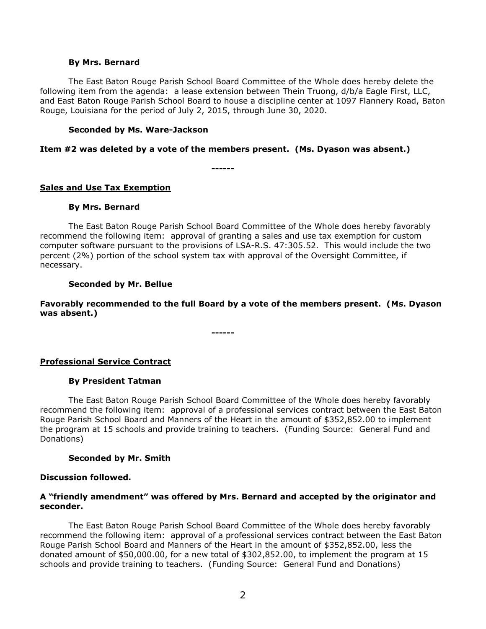#### **By Mrs. Bernard**

The East Baton Rouge Parish School Board Committee of the Whole does hereby delete the following item from the agenda: a lease extension between Thein Truong, d/b/a Eagle First, LLC, and East Baton Rouge Parish School Board to house a discipline center at 1097 Flannery Road, Baton Rouge, Louisiana for the period of July 2, 2015, through June 30, 2020.

#### **Seconded by Ms. Ware-Jackson**

#### **Item #2 was deleted by a vote of the members present. (Ms. Dyason was absent.)**

**------**

## **Sales and Use Tax Exemption**

#### **By Mrs. Bernard**

The East Baton Rouge Parish School Board Committee of the Whole does hereby favorably recommend the following item: approval of granting a sales and use tax exemption for custom computer software pursuant to the provisions of LSA-R.S. 47:305.52. This would include the two percent (2%) portion of the school system tax with approval of the Oversight Committee, if necessary.

### **Seconded by Mr. Bellue**

**Favorably recommended to the full Board by a vote of the members present. (Ms. Dyason was absent.)**

**------**

### **Professional Service Contract**

### **By President Tatman**

The East Baton Rouge Parish School Board Committee of the Whole does hereby favorably recommend the following item: approval of a professional services contract between the East Baton Rouge Parish School Board and Manners of the Heart in the amount of \$352,852.00 to implement the program at 15 schools and provide training to teachers. (Funding Source: General Fund and Donations)

### **Seconded by Mr. Smith**

#### **Discussion followed.**

### **A "friendly amendment" was offered by Mrs. Bernard and accepted by the originator and seconder.**

The East Baton Rouge Parish School Board Committee of the Whole does hereby favorably recommend the following item: approval of a professional services contract between the East Baton Rouge Parish School Board and Manners of the Heart in the amount of \$352,852.00, less the donated amount of \$50,000.00, for a new total of \$302,852.00, to implement the program at 15 schools and provide training to teachers. (Funding Source: General Fund and Donations)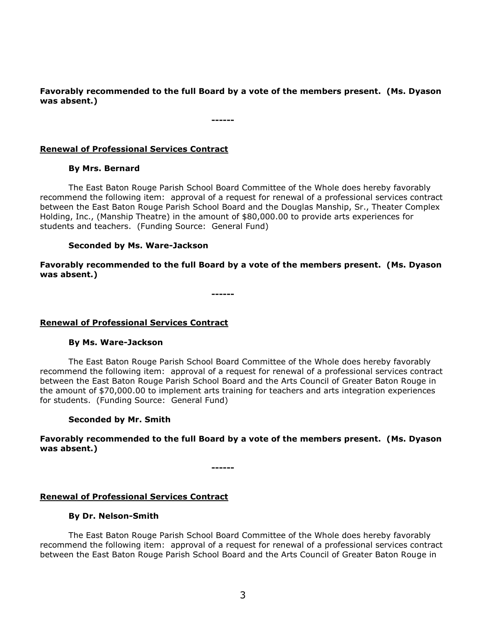**Favorably recommended to the full Board by a vote of the members present. (Ms. Dyason was absent.)**

**------**

## **Renewal of Professional Services Contract**

## **By Mrs. Bernard**

The East Baton Rouge Parish School Board Committee of the Whole does hereby favorably recommend the following item: approval of a request for renewal of a professional services contract between the East Baton Rouge Parish School Board and the Douglas Manship, Sr., Theater Complex Holding, Inc., (Manship Theatre) in the amount of \$80,000.00 to provide arts experiences for students and teachers. (Funding Source: General Fund)

## **Seconded by Ms. Ware-Jackson**

**Favorably recommended to the full Board by a vote of the members present. (Ms. Dyason was absent.)**

**------**

# **Renewal of Professional Services Contract**

### **By Ms. Ware-Jackson**

The East Baton Rouge Parish School Board Committee of the Whole does hereby favorably recommend the following item: approval of a request for renewal of a professional services contract between the East Baton Rouge Parish School Board and the Arts Council of Greater Baton Rouge in the amount of \$70,000.00 to implement arts training for teachers and arts integration experiences for students. (Funding Source: General Fund)

# **Seconded by Mr. Smith**

## **Favorably recommended to the full Board by a vote of the members present. (Ms. Dyason was absent.)**

**------**

# **Renewal of Professional Services Contract**

### **By Dr. Nelson-Smith**

The East Baton Rouge Parish School Board Committee of the Whole does hereby favorably recommend the following item: approval of a request for renewal of a professional services contract between the East Baton Rouge Parish School Board and the Arts Council of Greater Baton Rouge in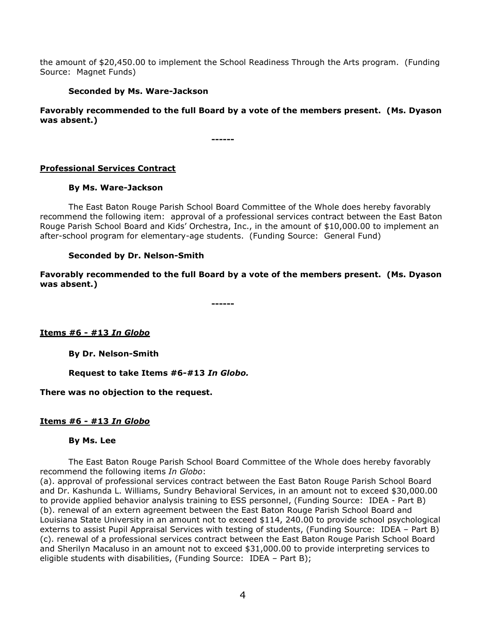the amount of \$20,450.00 to implement the School Readiness Through the Arts program. (Funding Source: Magnet Funds)

## **Seconded by Ms. Ware-Jackson**

**Favorably recommended to the full Board by a vote of the members present. (Ms. Dyason was absent.)**

**------**

## **Professional Services Contract**

## **By Ms. Ware-Jackson**

The East Baton Rouge Parish School Board Committee of the Whole does hereby favorably recommend the following item: approval of a professional services contract between the East Baton Rouge Parish School Board and Kids' Orchestra, Inc., in the amount of \$10,000.00 to implement an after-school program for elementary-age students. (Funding Source: General Fund)

## **Seconded by Dr. Nelson-Smith**

**Favorably recommended to the full Board by a vote of the members present. (Ms. Dyason was absent.)**

**------**

**Items #6 - #13** *In Globo*

**By Dr. Nelson-Smith**

**Request to take Items #6-#13** *In Globo.*

**There was no objection to the request.**

# **Items #6 - #13** *In Globo*

### **By Ms. Lee**

The East Baton Rouge Parish School Board Committee of the Whole does hereby favorably recommend the following items *In Globo*:

(a). approval of professional services contract between the East Baton Rouge Parish School Board and Dr. Kashunda L. Williams, Sundry Behavioral Services, in an amount not to exceed \$30,000.00 to provide applied behavior analysis training to ESS personnel, (Funding Source: IDEA - Part B) (b). renewal of an extern agreement between the East Baton Rouge Parish School Board and Louisiana State University in an amount not to exceed \$114, 240.00 to provide school psychological externs to assist Pupil Appraisal Services with testing of students, (Funding Source: IDEA – Part B) (c). renewal of a professional services contract between the East Baton Rouge Parish School Board and Sherilyn Macaluso in an amount not to exceed \$31,000.00 to provide interpreting services to eligible students with disabilities, (Funding Source: IDEA – Part B);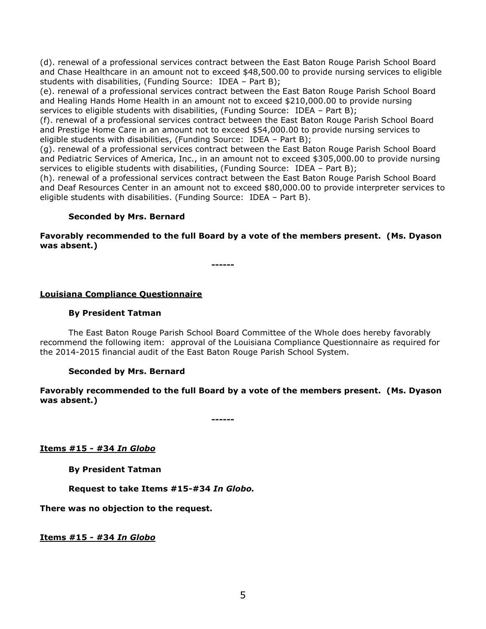(d). renewal of a professional services contract between the East Baton Rouge Parish School Board and Chase Healthcare in an amount not to exceed \$48,500.00 to provide nursing services to eligible students with disabilities, (Funding Source: IDEA – Part B);

(e). renewal of a professional services contract between the East Baton Rouge Parish School Board and Healing Hands Home Health in an amount not to exceed \$210,000.00 to provide nursing services to eligible students with disabilities, (Funding Source: IDEA – Part B);

(f). renewal of a professional services contract between the East Baton Rouge Parish School Board and Prestige Home Care in an amount not to exceed \$54,000.00 to provide nursing services to eligible students with disabilities, (Funding Source: IDEA – Part B);

(g). renewal of a professional services contract between the East Baton Rouge Parish School Board and Pediatric Services of America, Inc., in an amount not to exceed \$305,000.00 to provide nursing services to eligible students with disabilities, (Funding Source: IDEA - Part B);

(h). renewal of a professional services contract between the East Baton Rouge Parish School Board and Deaf Resources Center in an amount not to exceed \$80,000.00 to provide interpreter services to eligible students with disabilities. (Funding Source: IDEA – Part B).

## **Seconded by Mrs. Bernard**

**Favorably recommended to the full Board by a vote of the members present. (Ms. Dyason was absent.)**

**------**

## **Louisiana Compliance Questionnaire**

#### **By President Tatman**

The East Baton Rouge Parish School Board Committee of the Whole does hereby favorably recommend the following item: approval of the Louisiana Compliance Questionnaire as required for the 2014-2015 financial audit of the East Baton Rouge Parish School System.

### **Seconded by Mrs. Bernard**

**Favorably recommended to the full Board by a vote of the members present. (Ms. Dyason was absent.)**

**------**

**Items #15 - #34** *In Globo*

**By President Tatman**

**Request to take Items #15-#34** *In Globo.*

**There was no objection to the request.**

**Items #15 - #34** *In Globo*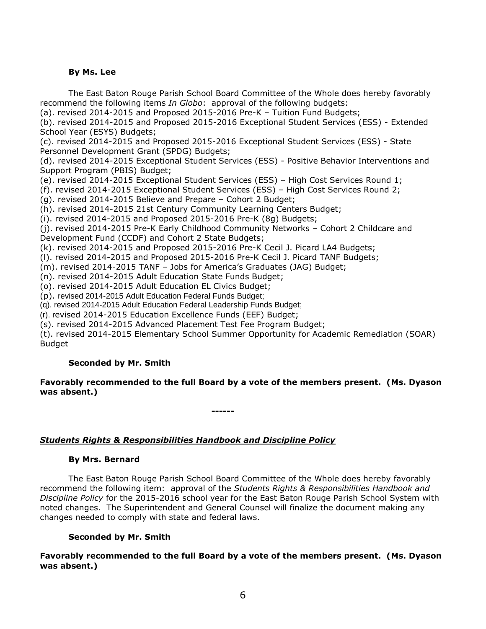## **By Ms. Lee**

The East Baton Rouge Parish School Board Committee of the Whole does hereby favorably recommend the following items *In Globo*:approval of the following budgets:

(a). revised 2014-2015 and Proposed 2015-2016 Pre-K – Tuition Fund Budgets;

(b). revised 2014-2015 and Proposed 2015-2016 Exceptional Student Services (ESS) - Extended School Year (ESYS) Budgets;

(c). revised 2014-2015 and Proposed 2015-2016 Exceptional Student Services (ESS) - State Personnel Development Grant (SPDG) Budgets;

(d). revised 2014-2015 Exceptional Student Services (ESS) - Positive Behavior Interventions and Support Program (PBIS) Budget;

(e). revised 2014-2015 Exceptional Student Services (ESS) – High Cost Services Round 1;

(f). revised 2014-2015 Exceptional Student Services (ESS) – High Cost Services Round 2;

(g). revised 2014-2015 Believe and Prepare – Cohort 2 Budget;

(h). revised 2014-2015 21st Century Community Learning Centers Budget;

(i). revised 2014-2015 and Proposed 2015-2016 Pre-K (8g) Budgets;

(j). revised 2014-2015 Pre-K Early Childhood Community Networks – Cohort 2 Childcare and Development Fund (CCDF) and Cohort 2 State Budgets;

(k). revised 2014-2015 and Proposed 2015-2016 Pre-K Cecil J. Picard LA4 Budgets;

(l). revised 2014-2015 and Proposed 2015-2016 Pre-K Cecil J. Picard TANF Budgets;

(m). revised 2014-2015 TANF – Jobs for America's Graduates (JAG) Budget;

(n). revised 2014-2015 Adult Education State Funds Budget;

(o). revised 2014-2015 Adult Education EL Civics Budget;

(p). revised 2014-2015 Adult Education Federal Funds Budget;

(q). revised 2014-2015 Adult Education Federal Leadership Funds Budget;

(r). revised 2014-2015 Education Excellence Funds (EEF) Budget;

(s). revised 2014-2015 Advanced Placement Test Fee Program Budget;

(t). revised 2014-2015 Elementary School Summer Opportunity for Academic Remediation (SOAR) Budget

# **Seconded by Mr. Smith**

**Favorably recommended to the full Board by a vote of the members present. (Ms. Dyason was absent.)**

**------**

### *Students Rights & Responsibilities Handbook and Discipline Policy*

# **By Mrs. Bernard**

The East Baton Rouge Parish School Board Committee of the Whole does hereby favorably recommend the following item: approval of the *Students Rights & Responsibilities Handbook and Discipline Policy* for the 2015-2016 school year for the East Baton Rouge Parish School System with noted changes. The Superintendent and General Counsel will finalize the document making any changes needed to comply with state and federal laws.

### **Seconded by Mr. Smith**

**Favorably recommended to the full Board by a vote of the members present. (Ms. Dyason was absent.)**